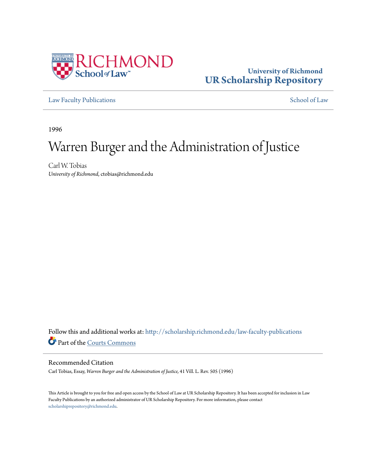

# **University of Richmond [UR Scholarship Repository](http://scholarship.richmond.edu?utm_source=scholarship.richmond.edu%2Flaw-faculty-publications%2F820&utm_medium=PDF&utm_campaign=PDFCoverPages)**

[Law Faculty Publications](http://scholarship.richmond.edu/law-faculty-publications?utm_source=scholarship.richmond.edu%2Flaw-faculty-publications%2F820&utm_medium=PDF&utm_campaign=PDFCoverPages) [School of Law](http://scholarship.richmond.edu/law?utm_source=scholarship.richmond.edu%2Flaw-faculty-publications%2F820&utm_medium=PDF&utm_campaign=PDFCoverPages)

1996

# Warren Burger and the Administration of Justice

Carl W. Tobias *University of Richmond*, ctobias@richmond.edu

Follow this and additional works at: [http://scholarship.richmond.edu/law-faculty-publications](http://scholarship.richmond.edu/law-faculty-publications?utm_source=scholarship.richmond.edu%2Flaw-faculty-publications%2F820&utm_medium=PDF&utm_campaign=PDFCoverPages) Part of the [Courts Commons](http://network.bepress.com/hgg/discipline/839?utm_source=scholarship.richmond.edu%2Flaw-faculty-publications%2F820&utm_medium=PDF&utm_campaign=PDFCoverPages)

## Recommended Citation

Carl Tobias, Essay, *Warren Burger and the Administration of Justice,* 41 Vill. L. Rev. 505 (1996)

This Article is brought to you for free and open access by the School of Law at UR Scholarship Repository. It has been accepted for inclusion in Law Faculty Publications by an authorized administrator of UR Scholarship Repository. For more information, please contact [scholarshiprepository@richmond.edu.](mailto:scholarshiprepository@richmond.edu)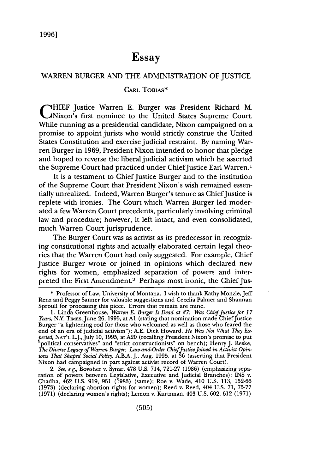# **Essay**

## WARREN BURGER AND THE ADMINISTRATION OF JUSTICE

### CARL TOBIAS\*

CHIEF Justice Warren E. Burger *was* President Richard M. Nixon's first nominee to the United States Supreme Court. While running *as* a presidential candidate, Nixon campaigned on a promise to appoint jurists who would strictly construe the United States Constitution and exercise judicial restraint. By naming Warren Burger in 1969, President Nixon intended to honor that pledge and hoped to reverse the liberal judicial activism which he asserted the Supreme Court had practiced under Chief Justice Earl Warren. <sup>1</sup>

It is a testament to Chief Justice Burger and to the institution of the Supreme Court that President Nixon's wish remained essentially unrealized. Indeed, Warren Burger's tenure *as* Chief Justice is replete with ironies. The Court which Warren Burger led moderated a few Warren Court precedents, particularly involving criminal law and procedure; however, it left intact, and even consolidated, much Warren Court jurisprudence.

The Burger Court *was as* activist *as* its predecessor in recognizing constitutional rights and actually elaborated certain legal theories that the Warren Court had only suggested. For example, Chief Justice Burger wrote or joined in opinions which declared new rights for women, emphasized separation of powers and interpreted the First Amendment.2 Perhaps most ironic, the Chief Jus-

<sup>\*</sup> Professor of Law, University of Montana. I wish to thank Kathy Monzie,Jeff Renz and Peggy Sanner for valuable suggestions and Cecelia Palmer and Shannan Sproull for processing this piece. Errors that remain are mine.

<sup>1.</sup> Linda Greenhouse, *Warren E. Burger Is Dead at 87: Was Chief justice for 17 Years,* N.Y. TIMES, June 26, 1995, at Al (stating that nomination made Chief Justice Burger "a lightening rod for those who welcomed as well as those who feared the end of an era of judicial activism"); A.E. Dick Howard, *He Was Not What They Expected,* NAT'L LJ.,July 10, 1995, at A20 (recalling President Nixon's promise to put "political conservatives" and "strict constructionists" on bench); Henry J. Reske, *The Diverse Legacy of Warren Burger: Law-and-Order Chief Justice Joined in Activist Opinions That Shaped Social Policy,* A.BA. J., Aug. 1995, at 36 (asserting that President Nixon had campaigned in part against activist record of Warren Court).

<sup>2.</sup> *See, e.g.,* Bowsher v. Synar, 478 U.S. 714, 721-27 (1986) (emphasizing separation of powers between Legislative, Executive and Judicial Branches); INS v. Chadha, 462 U.S. 919, 951 (1983) (same); Roe v. Wade, 410 U.S. 113, 152-66 (1973) (declaring abortion rights for women); Reed v. Reed, 404 U.S. 71, 75-77 (1971) (declaring women's rights); Lemon v. Kurtzman, 403 U.S. 602, 612 (1971)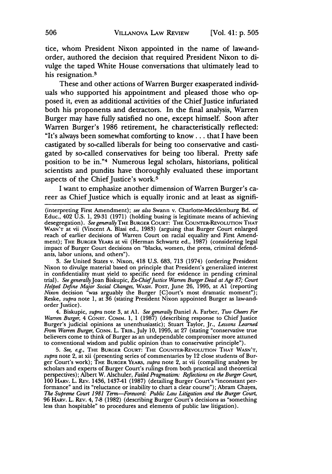tice, whom President Nixon appointed in the name of law-andorder, authored the decision that required President Nixon to divulge the taped White House conversations that ultimately lead to his resignation.<sup>3</sup>

These and other actions of Warren Burger exasperated individuals who supported his appointment and pleased those who opposed it, even as additional activities of the Chief Justice infuriated both his proponents and detractors. In the final analysis, Warren Burger may have fully satisfied no one, except himself. Soon after Warren Burger's 1986 retirement, he characteristically reflected: "It's always been somewhat comforting to know ... that I have been castigated by so-called liberals for being too conservative and castigated by so-called conservatives for being too liberal. Pretty safe position to be in."4 Numerous legal scholars, historians, political scientists and pundits have thoroughly evaluated these important aspects of the Chief Justice's work.5

I want to emphasize another dimension of Warren Burger's career as Chief Justice which is equally ironic and at least as signifi-

3. *See* United States v. Nixon, 418 U.S. 683, 713 (1974) (ordering President Nixon to divulge material based on principle that President's generalized interest in confidentiality must yield to specific need for evidence in pending criminal trial). *See generally* Joan Biskupic, *Ex-Chief Justice Warren Burger Dead at Age 87; Court Helped Define Major Social Changes,* WASH. PosT, June 26, 1995, at Al (reporting *Nixon* decision "was arguably the Burger [C]ourt's most dramatic moment"); Reske, *supra* note l, at 36 (stating President Nixon appointed Burger as law-andorder Justice).

4. Biskupic, *supra* note 3, at Al. *See generally* Daniel A. Farber, *Two Cheers Far Warren Burger,* 4 CONST. COMM. 1, 1 (1987) (describing response to Chief Justice Burger's judicial opinions as unenthusiastic); Stuart Taylor, Jr., *Lessons Learned From Warren Burger,* CONN. L. TRIB.,July 10, 1995, at 27 (stating "conservative true believers come to think of Burger as an undependable compromiser more attuned to conventional wisdom and public opinion than to conservative principle").

5. *See, e.g.,* THE BURGER COURT: THE CouNTER-REvoLUTION THAT WASN'T, *supra* note 2, at xii (presenting series of commentaries by 12 close students of Burger Court's work); THE BURGER YEARS, *supra* note 2, at vii (compiling analyses by scholars and experts of Burger Court's rulings from both practical and theoretical perspectives); Albert W. Alschuler, *Failed Pragmatism: Reflections on the Burger Court*, 100 HARV. L. REv. 1436, 1437-41 (1987) (detailing Burger Court's "inconstant performance" and its "reluctance or inability to chart a clear course"); Abram Chayes, *The Supreme Courl 1981 Term-Foreword: Public Law Litigation and the Burger Courl,*  96 HARV. L. REv. 4, 7-8 (1982) (describing Burger Court's decisions as "something less than hospitable" to procedures and elements of public law litigation).

<sup>(</sup>interpreting First Amendment); *see also* Swann v. Charlotte-Mecklenburg Bd. of Educ., 402 U.S. l, 29-31 (1971) (holding busing is legitimate means of achieving desegregation). *See generally* THE BURGER COURT: THE COUNTER-REVOLUTION THAT WASN'T at vii (Vincent A. Blasi ed., 1983) (arguing that Burger Court enlarged reach of earlier decisions of Warren Court on racial equality and First Amendment); THE BURGER YEARS at vii (Herman Schwartz ed., 1987) (considering legal impact of Burger Court decisions on "blacks, women, the press, criminal defendants, labor unions, and others").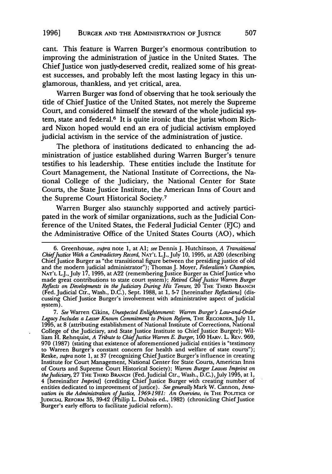cant. This feature is Warren Burger's enormous contribution to improving the administration of justice in the United States. The Chief Justice won justly-deserved credit, realized some of his greatest successes, and probably left the most lasting legacy in this unglamorous, thankless, and yet critical, area.

Warren Burger was fond of observing that he took seriously the title of Chief Justice of the United States, not merely the Supreme Court, and considered himself the steward of the whole judicial system, state and federal.<sup>6</sup> It is quite ironic that the jurist whom Richard Nixon hoped would end an era of judicial activism employed judicial activism in the service of the administration of justice.

The plethora of institutions dedicated to enhancing the administration of justice established during Warren Burger's tenure testifies to his leadership. These entities include the Institute for Court Management, the National Institute of Corrections, the National College of the Judiciary, the National Center for State Courts, the State Justice Institute, the American Inns of Court and the Supreme Court Historical Society. 7

Warren Burger also staunchly supported and actively participated in the work of similar organizations, such as the Judicial Conference of the United States, the Federal Judicial Center (FJC) and the Administrative Office of the United States Courts (AO), which

7. *See* Warren Cikins, *Unexpected Enlightenment: Warren Burger's Law-and-Order*  Legacy Includes a Lesser Known Commitment to Prison Reform, THE RECORDER, July 11, 1995, at 8 (attributing establishment of National Institute of Corrections, National College of the Judiciary, and State Justice Institute to Chief Justice Burger); William H. Rehnquist, *A Tribute to Chief Justice Warren E. Burger,* 100 HARv. L. REv. 969, 970 (1987) (stating that existence of aforementioned judicial entities is "testimony to Warren Burger's constant concern for health and welfare of state courts"); Reske, *supra* note 1, at 37 (recognizing Chief Justice Burger's influence in creating Institute for Court Management, National Center for State Courts, American Inns of Courts and Supreme Court Historical Society); *Warren Burger Leaves Imprint on*  the Judiciary, 27 THE THIRD BRANCH (Fed. Judicial Ctr., Wash., D.C.), July 1995, at 1, 4 [hereinafter *Imprint]* (crediting Chief Justice Burger with creating number of entities dedicated to improvement of justice). *See generally* Mark W. Cannon, *Inno-* vation in the Administration of Justice, 1969-1981: An Overview, in THE POLITICS OF JumcIAL REFORM 35, 39-42 (Philip L. Dubois ed., 1982) (chronicling Chief Justice Burger's early efforts to facilitate judicial reform).

<sup>6.</sup> Greenhouse, *supra* note 1, at Al; *see* Dennis J. Hutchinson, *A Transitional Chief justice With a Contradictory Record,* NAT'L LJ.,July 10, 1995, at A20 (describing Chief Justice Burger as "the transitional figure between the presiding justice of old and the modern judicial administrator"); Thomas]. Moyer, *Federalism's Champion,*  NAT'L L.J., July 17, 1995, at A22 (remembering Justice Burger as Chief Justice who made great contributions to state court system); *Retired Chief Justice Warren Burger Reflects on Developments in the Judiciary During His Tenure, 20 THE THIRD BRANCH* (Fed.Judicial Ctr., Wash., D.C.), Sept. 1988, at l, 5-7 [hereinafter *Reflections]* (discussing Chief Justice Burger's involvement with administrative aspect of judicial system).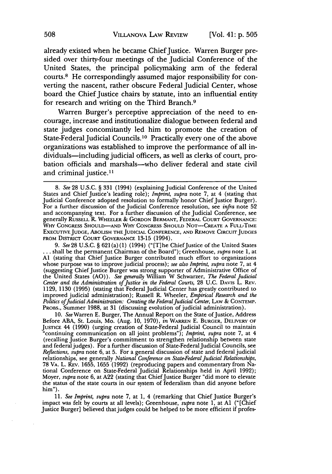already existed when he became Chief Justice. Warren Burger presided over thirty-four meetings of the Judicial Conference of the United States, the principal policymaking arm of the federal courts.8 He correspondingly assumed major responsibility for converting the nascent, rather obscure Federal Judicial Center, whose board the Chief Justice chairs by statute, into an influential entity for research and writing on the Third Branch.9

Warren Burger's perceptive appreciation of the need to encourage, increase and institutionalize dialogue between federal and state judges concomitantly led him to promote the creation of State-Federal Judicial Councils.<sup>10</sup> Practically every one of the above organizations was established to improve the performance of all individuals-including judicial officers, as well as clerks of court, probation officials and marshals-who deliver federal and state civil and criminal justice.<sup>11</sup>

9. *See28* U.S.C. § 62l(a)(l) (1994) ("[T]he Chief Justice of the United States ... shall be the permanent Chairman of the Board"); Greenhouse, *supra* note 1, at Al (stating that Chief Justice Burger contributed much effort to organizations whose purpose was to improve judicial process); *see also Imprint, supra* note 7, at 4 (suggesting Chief Justice Burger was strong supporter of Administrative Office of the United States (AO)). *See generally* William W Schwarzer, *The Federal judicial Center and the Administration of justice in the Federal Courts,* 28 U.C. DAVIS L. REv. 1129, 1130 (1995) (stating that Federal Judicial Center has greatly contributed to improved judicial administration); Russell R. Wheeler, *Empirical Research and the Politics of Judicial Administration: Creating the Federal Judicial Center, LAW & CONTEMP.* PROSS., Summer 1988, at 31 (discussing evolution of judicial administration).

10. *See* Warren E. Burger, The Annual Report on the State of Justice, Address Before ABA, St. Louis, Mo. (Aug. 10, 1970), *in* WARREN E. BURGER, DELIVERY OF JUSTICE 44 (1990) (urging creation of State-Federal Judicial Council to maintain "continuing communication on all joint problems"); *Imprint, supra* note 7, at 4 (recalling Justice Burger's commitment to strengthen relationship between state and federal judges). For a further discussion of State-Federal Judicial Councils, see *Reflections, supra* note 6, at 5. For a general discussion of state and federal judicial relationships, see generally *National Conference on State-Federal judicial Relationships,*  78 VA. L. REv. 1655, 1655 (1992) (reproducing papers and commentary from National Conference on State-Federal Judicial Relationships held in April 1992); Moyer, *supra* note 6, at A22 (stating that Chief Justice Burger "did more to elevate the status of the state courts in our system of federalism than did anyone before him").

11. *See Imprint, supra* note 7, at 1, 4 (remarking that Chief Justice Burger's impact was felt by courts at all levels); Greenhouse, *supra* note 1, at Al ("[Chief Justice Burger] believed that judges could be helped to be more efficient if profes-

<sup>8.</sup> *See* 28 U.S.C. § 331 (1994) (explaining Judicial Conference of the United States and Chief Justice's leading role); *Imprint, supra* note 7, at 4 (stating that Judicial Conference adopted resolution to formally honor Chief Justice Burger). For a further discussion of the Judicial Conference resolution, see *infra* note 52 and accompanying text. For a further discussion of the Judicial Conference, see generally RussELL R. WHEELER & GoRDoN BERMANT, FEDERAL CouRT GoVERNANCE: WHY CONGRESS SHOULD-AND WHY CONGRESS SHOULD NOT-CREATE A FULL-TIME EXECUTIVE JUDGE, ABOLISH THE JUDICIAL CONFERENCE, AND REMOVE CIRCUIT JUDGES FROM DISTRICT COURT GOVERNANCE 13-15 (1994).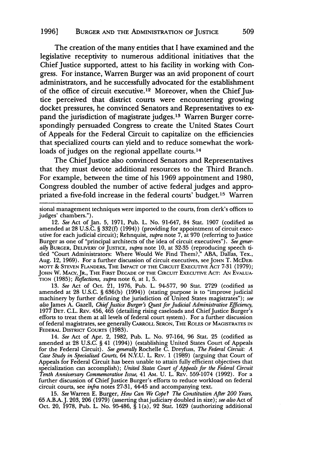The creation of the many entities that I have examined and the legislative receptivity to numerous additional initiatives that the Chief Justice supported, attest to his facility in working with Congress. For instance, Warren Burger was an avid proponent of court administrators, and he successfully advocated for the establishment of the office of circuit executive. 12 Moreover, when the Chief Justice perceived that district courts were encountering growing docket pressures, he convinced Senators and Representatives to expand the jurisdiction of magistrate judges. 13 Warren Burger correspondingly persuaded Congress to create the United States Court of Appeals for the Federal Circuit to capitalize on the efficiencies that specialized courts can yield and to reduce somewhat the workloads of judges on the regional appellate courts.<sup>14</sup>

The Chief Justice also convinced Senators and Representatives that they must devote additional resources to the Third Branch. For example, between the time of his 1969 appointment and 1980, Congress doubled the number of active federal judges and appropriated a five-fold increase in the federal courts' budget. 15 Warren

13. *See* Act of Oct. 21, 1976, Pub. L. 94-577, 90 Stat. 2729 (codified as amended at 28 U.S.C. § 636(b) (1994)) (stating purpose is to "improve judicial machinery by further defining the jurisdiction of United States magistrates"); *see also* James A. Gazell, *Chief Justice Burger's Quest for Judicial Administrative Efficiency,*  1977 DET. C.L. REv. 456, 465 (detailing rising caseloads and Chief Justice Burger's efforts to treat them at all levels of federal court system). For a further discussion of federal magistrates, see generally CARROLL SERON, THE ROLES OF MAGISTRATES IN FEDERAL DISTRICT COURTS (1983).

14. *See* Act of Apr. 2, 1982, Pub. L. No. 97-164, 96 Stat. 25 (codified as amended at 28 U.S.C. § 41 (1994)) (establishing United States Court of Appeals for the Federal Circuit). *See generally* Rochelle C. Dreyfuss, *The Federal Circuit: A Case Study in Specialized Courts*, 64 N.Y.U. L. REV. 1 (1989) (arguing that Court of Appeals for Federal Circuit has been unable to attain fully efficient objectives that specialization can accomplish); *United States Court of Appeals for the Federal Circuit Tenth Anniversary Commemorative Issue,* 41 AM. U. L. REv. 559-1074 (1992). For a further discussion of Chief Justice Burger's efforts to reduce workload on federal circuit courts, see *infra* notes 27-31, 44-45 and accompanying text.

15. *See* Warren E. Burger, *How Can We Cope? The Constitution After 200 Years,*  65 A.BAJ. 203, 206 (1979) (asserting that judiciary doubled in size); *see also* Act of Oct. 20, 1978, Pub. L. No. 95-486, § l(a), 92 Stat. 1629 (authorizing additional

sional management techniques were imported to the courts, from clerk's offices to judges' chambers.").

<sup>12.</sup> *See* Act of Jan. 5, 1971, Pub. L. No. 91-647, 84 Stat. 1907 (codified as amended at 28 U.S.C. § 332(f) (1994)) (providing for appointment of circuit executive for each judicial circuit); Rehnquist, *supra* note 7, at 970 (referring to Justice Burger as one of "principal architects of the idea of circuit executives"). *See generally* BURGER, DELIVERY OF JUSTICE, *supra* note 10, at 32-35 (reproducing speech titled "Court Administrators: Where Would We Find Them?," ABA, Dallas, Tex., Aug. 12, 1969). For a further discussion of circuit executives, see JOHN T. McDER-MOTT & STEVEN FLANDERS, THE IMPACT OF THE CIRCUIT EXECUTIVE ACT 7-31 (1979); JOHN W. MACY, JR., THE FIRST DECADE OF THE CIRCUIT EXECUTIVE ACT: AN EVALUA-TION (1985); *Reflections, supra* note 6, at 1, 5.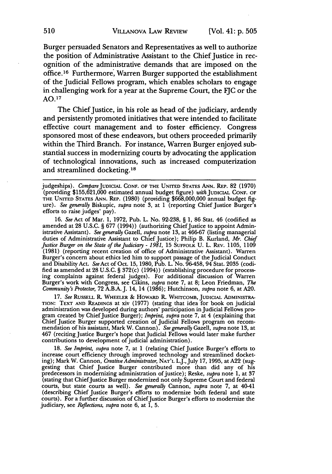Burger persuaded Senators and Representatives as well to authorize the position of Administrative Assistant to the Chief Justice in recognition of the administrative demands that are imposed on the office.<sup>16</sup> Furthermore, Warren Burger supported the establishment of the Judicial Fellows program, which enables scholars to engage in challenging work for a year at the Supreme Court, the FJC or the  $AO.<sup>17</sup>$ 

The Chief Justice, in his role as head of the judiciary, ardently and persistently promoted initiatives that were intended to facilitate effective court management and to foster efficiency. Congress sponsored most of these endeavors, but others proceeded primarily within the Third Branch. For instance, Warren Burger enjoyed substantial success in modernizing courts by advocating the application of technological innovations, such as increased computerization and streamlined docketing. 1s

16. *See* Act of Mar. l, 1972, Pub. L. No. 92-238, § l, 86 Stat. 46 (codified as amended at 28 U.S.C. § 677 (1994)) (authorizing Chief Justice to appoint Administrative Assistant). *See generally* Gazell, *supra* note 13, at 466-67 (listing managerial duties of Administrative Assistant to Chief Justice); Philip B. Kurland, *Mr. Chief Justice Burger on the State of the Judiciary - 1981,* 15 SUFFOLK U. L. REV. 1105, 1109 (1981) (reporting recent creation of office of Administrative Assistant). Warren Burger's concern about ethics led him to support passage of the Judicial Conduct and Disability Act. *See* Act of Oct. 15, 1980, Pub. L. No. 96-458, 94 Stat. 2035 (codified as amended at 28 U.S.C. § 372(c) (1994)) (establishing procedure for processing complaints against federal judges). For additional discussion of Warren Burger's work with Congress, see Cikins, *supra* note 7, at 8; Leon Friedman, *The Community's Protector,* 72 A.B.A.J. 14, 14 (1986); Hutchinson, *supra* note 6, at A20.

17. *See* RUSSELL R. WHEELER & HOWARD R. WHITCOMB, JUDICIAL ADMINISTRA-TION: TEXT AND READINGS at xiv (1977) (stating that idea for book on judicial administration was developed during authors' participation in Judicial Fellows program created by Chief Justice Burger); *Imprint, supra* note 7, at 4 (explaining that Chief Justice Burger supported creation of Judicial Fellows program on recommendation of his assistant, Mark W. Cannon). *See generally* Gazell, *supra* note 13, at 467 (reciting Justice Burger's hope that Judicial Fellows would later make further contributions to development of judicial administration).

18. *See Imprint, supra* note 7, at 1 (relating Chief Justice Burger's efforts to increase court efficiency through improved technology and streamlined docketing); Mark W. Cannon, *Creative Administrator*, NAT'L L.J., July 17, 1995, at A22 (suggesting that Chief Justice Burger contributed more than did any of his predecessors in modernizing administration of justice); Reske, *supra* note l, at 37 (stating that Chief justice Burger modernized not only Supreme Court and federal courts, but state courts as well). *See generally* Cannon, *supra* note 7, at 40-41 (describing Chief Justice Burger's efforts to modernize both federal and state courts). For a further discussion of Chief Justice Burger's efforts to modernize the judiciary, see *Reflections*, *supra* note 6, at 1, 5.

judgeships). *Compare* JUDICIAL CoNF. OF THE UNITED STATES ANN. REP. 82 (1970) (providing \$155,621,000 estimated annual budget figure) *withJumcIAL* CONF. OF THE UNITED STATES ANN. REP. (1980) (providing \$668,000,000 annual budget figure). *See generally* Biskupic, *supra* note 3, at 1 (reporting Chief Justice Burger's efforts to raise judges' pay).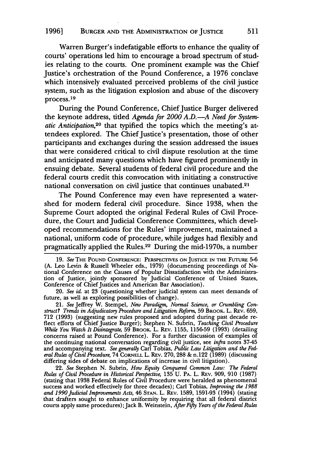Warren Burger's indefatigable efforts to enhance the quality of courts' operations led him to encourage a broad spectrum of studies relating to the courts. One prominent example was the Chief Justice's orchestration of the Pound Conference, a 1976 conclave which intensively evaluated perceived problems of the civil justice system, such as the litigation explosion and abuse of the discovery process. <sup>19</sup>

During the Pound Conference, Chief Justice Burger delivered the keynote address, titled *Agenda for 2000 A.D.-A Need for Systematic Anticipation,20* that typified the topics which the meeting's attendees explored. The Chief Justice's presentation, those of other participants and exchanges during the session addressed the issues that were considered critical to civil dispute resolution at the time and anticipated many questions which have figured prominently in ensuing debate. Several students of federal civil procedure and the federal courts credit this convocation with initiating a constructive national conversation on civil justice that continues unabated.<sup>21</sup>

The Pound Conference may even have represented a watershed for modem federal civil procedure. Since 1938, when the Supreme Court adopted the original Federal Rules of Civil Procedure, the Court and Judicial Conference Committees, which developed recommendations for the Rules' improvement, maintained a national, uniform code of procedure, while judges had flexibly and pragmatically applied the Rules.22 During the mid-1970s, a number

20. *See id.* at 23 (questioning whether judicial system can meet demands of future, as well as exploring possibilities of change).

21. *See* Jeffrey W. Stempel, *New Paradigm, Normal Science, or Crumbling Construct? Trends in Adjudicatory Procedure and Litigation Reform,* 59 BROOK. L. REv. 659, 712 (1993) (suggesting new rules proposed and adopted during past decade reflect efforts of Chief Justice Burger); Stephen N. Subrin, *Teaching Civil Procedure While You Watch It Disintegrate,* 59 BROOK. L. REv. 1155, 1156-59 (1993) (detailing concerns raised at Pound Conference). For a further discussion of examples of the continuing national conversation regarding civil justice, see *infra* notes 37-45 and accompanying text. *See generally* Carl Tobias, *Public Law Litigation and the Fedr*  eral Rules of Civil Procedure, 74 CORNELL L. REV. 270, 288 & n.122 (1989) (discussing differing sides of debate on implications of increase in civil litigation).

22. *See* Stephen N. Subrin, *How Equity Conquered Common Law: The Federal Rules of Civil Procedure in Historical Perspective,* 135<sup>t</sup> U. P.A. L. REV. 909, 910 (1987) (stating that 1938 Federal Rules of Civil Procedure were heralded as phenomenal success and worked effectively for three decades); Carl Tobias, *Improving the 1988 and 1990 Judicial Improvements Acts,* 46 STAN. L. REv. 1589, 1591-93 (1994) (stating that drafters sought to enhance uniformity by requiring that all federal district courts apply same procedures); Jack B. Weinstein, *After Fifty Years of the Federal Rules* 

<sup>19.</sup> *See* THE POUND CONFERENCE: PERSPECTIVES ON JUSTICE IN THE FUTURE 5-6 (A. Leo Levin & Russell Wheeler eds., 1979) (documenting proceedings of National Conference on the Causes of Popular Dissatisfaction with the Administration of Justice, jointly sponsored by Judicial Conference of United States, Conference of Chief Justices and American Bar Association).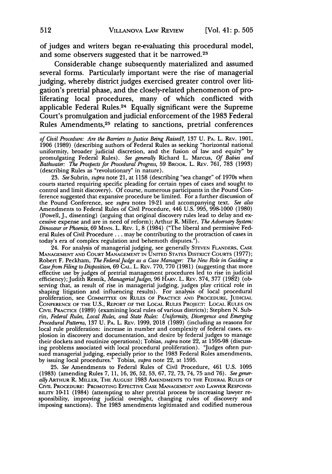of judges and writers began re-evaluating this procedural model, and some observers suggested that it be narrowed.23

Considerable change subsequently materialized and assumed several forms. Particularly important were the rise of managerial judging, whereby district judges exercised greater control over litigation's pretrial phase, and the closely-related phenomenon of proliferating local procedures, many of which conflicted with applicable Federal Rules.24 Equally significant were the Supreme Court's promulgation and judicial enforcement of the 1983 Federal Rules Amendments,25 relating to sanctions, pretrial conferences

*of Civil Procedure: Are the Barriers to Justice Being Raised?,* 137 U. PA. L. REv. 1901, 1906 (1989) (describing authors of Federal Rules as seeking "horizontal national uniformity, broader judicial discretion, and the fusion of law and equity" by promulgating Federal Rules). *See generally* Richard L. Marcus, *Of Babies and Bathwater: The Prospects for Procedural Progress,* 59 BROOK. L. REv. 761, 783 (1993) (describing Rules as "revolutionary" in nature).

23. SeeSubrin, *supra* note 21, at 1158 (describing "sea change" of 1970s when courts started requiring specific pleading for certain types of cases and sought to control and limit discovery). Of course, numerous participants in the Pound Conference suggested that expansive procedure be limited. For a further discussion of the Pound Conference, see *supra* notes 19-21 and accompanying text. *See also*  Amendments to Federal Rules of Civil Procedure, 446 U.S. 995, 998-1000 (1980) (Powell, J., dissenting) (arguing that original discovery rules lead to delay and excessive expense and are in need of reform); Arthur R. Miller, *The Adversary System: Dinosaur or Phoenix,* 69 MINN. L. REv. 1, 8 (1984) ("The liberal and permissive Federal Rules of Civil Procedure ... may be contributing to the protraction of cases in today's era of complex regulation and behemoth disputes.").

24. For analysis of managerial judging, see generally STEVEN FLANDERS, CASE MANAGEMENT AND COURT MANAGEMENT JN UNITED STATES DISTRICT COURTS (1977); Robert F. Peckham, *The Federal judge as a Case Manager: The New Rnk in Guiding a Case from Filing to Disposition,* 69 CAL. L. REv. 770, 770 (1981) (suggesting that more effective use by judges of pretrial management procedures led to rise in judicial efficiency);Judith Resnik, *Managerial judges,* 96 HARV. L. REv. 374, 377 (1982) (observing that, as result of rise in managerial judging, judges play critical role in shaping litigation and influencing results). For analysis of local procedural proliferation, see COMMITTEE ON RULES OF PRACTICE AND PROCEDURE, JUDICIAL CONFERENCE OF THE U.S., REPORT OF THE LOCAL RULES PROJECT: LOCAL RULES ON CIVIL PRACTICE (1989) (examining local rules of various districts); Stephen N. Subrin, *Federal Rules, Local Rules, and State Rules: Uniformity, Divergence and Emerging Procedural Patterns,* 137 U. PA. L. REv. 1999, 2018 (1989) (including as reasons for local rule proliferation: increase in number and complexity of federal cases, explosion in discovery and documentation, and desire by federal judges to manage their dockets and routinize operations); Tobias, *supra* note 22, at 1595-98 (discussing problems associated with local procedural proliferation). 'Judges often pursued managerial judging, especially prior to the 1983 Federal Rules amendments, by issuing local procedures." Tobias, *supra* note 22, at 1595.

25. *See* Amendments to Federal Rules of Civil Procedure, 461 U.S. 1095 (1983) (amending Rules 7, 11, 16, 26, 52, 53, 67, 72, 73, 74, 75 and 76). *See generally* ARTHUR R. MILLER, THE AUGUST 1983 AMENDMENTS TO THE FEDERAL RULES OF CIVIL PROCEDURE: PROMOTING EFFECTIVE CASE MANAGEMENT AND LAWYER RESPONSI-BILITY 10-11 (1984) (attempting to alter pretrial process by increasing lawyer responsibility, improving judicial oversight, changing rules of discovery and imposing sanctions). The 1983 amendments legitimated and codified numerous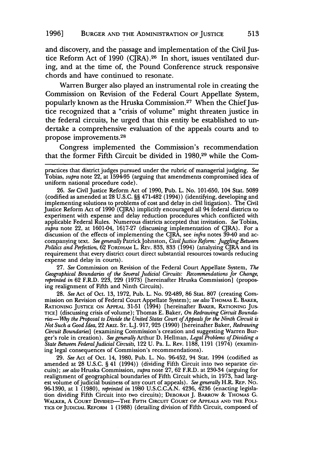and discovery, and the passage and implementation of the Civil Justice Reform Act of 1990 (CJRA).26 In short, issues ventilated during, and at the time of, the Pound Conference struck responsive chords and have continued to resonate.

Warren Burger also played an instrumental role in creating the Commission on Revision of the Federal Court Appellate System, popularly known as the Hruska Commission.27 When the Chief Justice recognized that a "crisis of volume" might threaten justice in the federal circuits, he urged that this entity be established to undertake a comprehensive evaluation of the appeals courts and to propose improvements.2s

Congress implemented the Commission's recommendation that the former Fifth Circuit be divided in 1980,29 while the Com-

27. *See* Commission on Revision of the Federal Court Appellate System, *The Geographical Boundaries of the Several Judicial Circuits: Recommendations for Change, reprinted in* 62 F.R.D. 223, 229 (1973) [hereinafter Hruska Commission] (proposing realignment of Fifth and Ninth Circuits).

28. *See* Act of Oct. 13, 1972, Pub. L. No. 92-489, 86 Stat. 807 (creating Commission on Revision of Federal Court Appellate System); *see also* THOMAS E. BAKER, Rationing Justice on Appeal 31-51 (1994) [hereinafter Baker, Rationing Jus-TICE] (discussing crisis of volume); Thomas E. Baker, *On Redrawing Circuit Boundaries-Why the Proposal to Divide the United States Court of Appeals for the Ninth Circuit is Not Such a Good Idea,* 22 ARiz. ST. LJ. 917, 925 (1990) [hereinafter Baker, *Redrawing Circuit Boundaries]* (examining Commission's creation and suggesting Warren Burger's role in creation). *See generally* Arthur D. Hellman, *Legal Problems of Dividing a State Between Federal Judicial Circuits,* 122 U. Pa. L. Rev. 1188, 1191 (1974) (examining legal consequences of Commission's recommendations).

29. *See* Act of Oct. 14, 1980, Pub. L. No. 96-452, 94 Stat. 1994 (codified as amended at 28 U.S.C. § 41 (1994)) (dividing Fifth Circuit into two separate circuits); *see also* Hruska Commission, *supra* note 27, 62 F.R.D. at 230-34 (arguing for realignment of geographical boundaries of Fifth Circuit which, in 1973, had largest volume of judicial business of any court of appeals). *See generally* H.R. REP. No. 96-1390, at 1 (1980), *reprinted in* 1980 U.S.C.CA.N. 4236, 4236 (enacting legislation dividing Fifth Circuit into two circuits); DEBORAH J. BARROW & THOMAS G. WALKER, A COURT DIVIDED-THE FIFTH CIRCUIT COURT OF APPEALS AND THE POLI-TICS OF JUDICIAL REFORM 1 (1988) (detailing division of Fifth Circuit, composed of

practices that district judges pursued under the rubric of managerial judging. *See*  Tobias, *supra* note 22, at 1594-95 (arguing that amendments compromised idea of uniform national procedure code).

<sup>26.</sup> *See* Civil Justice Reform Act of 1990, Pub. L. No. 101-650, 104 Stat. 5089 (codified as amended at 28 U.S.C. §§ 471-482 (1994)) (identifying, developing and implementing solutions to problems of cost and delay in civil litigation). The Civil Justice Reform Act of 1990 (CJRA) implicitly encouraged all 94 federal districts to experiment with expense and delay reduction procedures which conflicted with applicable Federal Rules. Numerous districts accepted that invitation. *See* Tobias, *supra* note 22, at 1601-04, 1617-27 (discussing implementation of CJRA). For a discussion of the effects of implementing the CJRA, see *infra* notes 39-40 and accompanying text. *See generally* Patrick Johnston, *Civil Justice Reform: Juggling Between*  Politics and Perfection,  $\overline{62}$  FORDHAM L. REV. 833, 833 (1994) (analyzing CJRA and its requirement that every district court direct substantial resources towards reducing expense and delay in courts).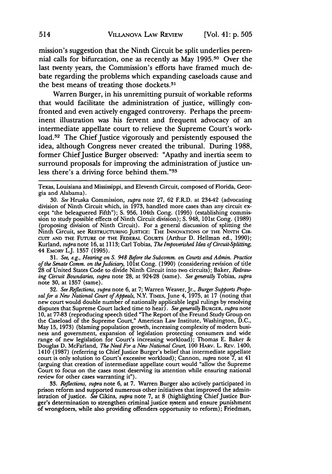mission's suggestion that the Ninth Circuit be split underlies perennial calls for bifurcation, one as recently as May 1995.30 Over the last twenty years, the Commission's efforts have framed much debate regarding the problems which expanding caseloads cause and the best means of treating those dockets.<sup>31</sup>

Warren Burger, in his unremitting pursuit of workable reforms that would facilitate the administration of justice, willingly confronted and even actively engaged controversy. Perhaps the preeminent illustration was his fervent and frequent advocacy of an intermediate appellate court to relieve the Supreme Court's workload.<sup>32</sup> The Chief Justice vigorously and persistently espoused the idea, although Congress never created the tribunal. During 1988, former Chief Justice Burger observed: "Apathy and inertia seem to surround proposals for improving the administration of justice unless there's a driving force behind them."33

31. *See, e.g., Hearing on S. 948 Before the Subcomm. on Courts and Admin. Practice of the Senate Comm. on the judiciary,* lOlst Cong. (1990) (considering revision of title 28 of United States Code to divide Ninth Circuit into two circuits); Baker, *Redrawing Circuit Boundaries, supra* note 28, at 924-28 (same). *See generally* Tobias, *supra*  note 30, at 1357 (same).

32. *See Reflections, supra* note 6, at 7; Warren Weaver, Jr., *Burger Supports Propo*sal for a New National Court of Appeals, N.Y. TIMES, June 4, 1975, at 17 (noting that new court would double number of nationally applicable legal rulings by resolving disputes that Supreme Court lacked time to hear). *See generally* BURGER, *supra* note 10, at 77-83 (reproducing speech titled "The Report of the Freund Study Group on the Caseload of the Supreme Court," American Law Institute, Washington, D.C., May 15, 1973) (blaming population growth, increasing complexity of modern business and government, expansion of legislation protecting consumers and wide range of new legislation for Court's increasing workload); Thomas E. Baker & Douglas D. McFarland, *The Need* for *a New National Court,* 100 HARV. L. REv. 1400, 1410 (1987) (referring to Chief Justice Burger's belief that intermediate appellate court is only solution to Court's excessive workload); Cannon, *supra* note 7, at 41 (arguing that creation of intermediate appellate court would "allow the Supreme Court to focus on the cases most deserving its attention while ensuring national review for other cases warranting it").

33. *Reflections, supra* note 6, at 7. Warren Burger also actively participated in prison reform and supported numerous other initiatives that improved the administration of justice. *See* Cikins, *supra* note 7, at 8 (highlighting Chief Justice Burger's determination to strengthen criminal justice system and ensure punishment of wrongdoers, while also providing offenders opportunity to reform); Friedman,

Texas, Louisiana and Mississippi, and Eleventh Circuit, composed of Florida, Georgia and Alabama).

<sup>30.</sup> *See* Hruska Commission, *supra* note 27, 62 F.R.D. at 234-42 (advocating division of Ninth Circuit which, in 1973, handled more cases than any circuit except "the beleaguered Fifth"); S. 956, 104th Cong. (1995) (establishing commission to study possible effects of Ninth Circuit division); S. 948, lOlst Cong. (1989) (proposing division of Ninth Circuit). For a general discussion of splitting the Ninth Circuit, see RESTRUCTURING JuSTICE: THE INNOVATIONS OF THE NINTH CIRcurr AND THE FuTURE OF THE FEDERAL COURTS (Arthur D. Hellman ed., 1990); Kurland, *supra* note 16, at 1113; Carl Tobias, *The Impoverished Idea of Circuit-Splitting,*  44 EMORY L.J. 1357 (1995).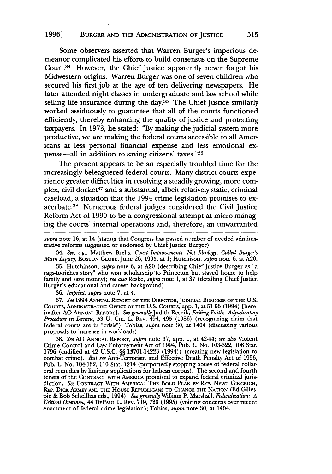#### 1996] BURGER AND THE ADMINISTRATION OF JUSTICE 515

Some observers asserted that Warren Burger's imperious demeanor complicated his efforts to build consensus on the Supreme Court.34 However, the Chief Justice apparently never forgot his Midwestern origins. Warren Burger was one of seven children who secured his first job at the age of ten delivering newspapers. He later attended night classes in undergraduate and law school while selling life insurance during the day.<sup>35</sup> The Chief Justice similarly worked assiduously to guarantee that all of the courts functioned efficiently, thereby enhancing the quality of justice and protecting taxpayers. In 1973, he stated: "By making the judicial system more productive, we are making the federal courts accessible to all Americans at less personal financial expense and less emotional expense-all in addition to saving citizens' taxes."36

The present appears to be an especially troubled time for the increasingly beleaguered federal courts. Many district courts experience greater difficulties in resolving a steadily growing, more complex, civil docket<sup>37</sup> and a substantial, albeit relatively static, criminal caseload, a situation that the 1994 crime legislation promises to exacerbate. 38 Numerous federal judges considered the Civil Justice Reform Act of 1990 to be a congressional attempt at micro-managing the courts' internal operations and, therefore, an unwarranted

*supra* note 16, at 14 (stating that Congress has passed number of needed administrative reforms suggested or endorsed by Chief Justice Burger).

34. See, e.g., Matthew Brelis, Court Improvements, Not Ideology, Called Burger's *Main Legacy,* BosTON GLOBE, June 26, 1995, at l; Hutchison, *supra* note 6, at A20.

35. Hutchinson, *supra* note 6, at A20 (describing Chief Justice Burger as "a rags-to-riches story" who won scholarship to Princeton but stayed home to help family and save money); see also Reske, *supra* note 1, at 37 (detailing Chief Justice Burger's educational and career background).

36. *Imprint, supra* note 7, at 4.

37. See 1994 ANNUAL REPORT OF THE DIRECTOR, JUDICIAL BUSINESS OF THE U.S. COURTS, ADMINISTRATIVE OFFICE OF THE U.S. COURTS, app. 1, at 51-53 (1994) [hereinafter AO ANNUAL REPORT]. *See generally* Judith Resnik, *Failing Faith: Adjudicatury Procedure in Decline,* 53 U. CHI. L. REv. 494, 495 (1986) (recognizing claim that federal courts are in "crisis"); Tobias, *supra* note 30, at 1404 (discussing various proposals to increase in workloads).

38. See AO ANNUAL REPORT, *supra* note 37, app. 1, at 42-44; see also Violent Crime Control and Law Enforcement Act of 1994, Pub. L. No. 103-322, 108 Stat. 1796 (codified at 42 U.S.C. §§ 13701-14223 (1994)) (creating new legislation to combat crime). *But see* Anti-Terrorism and Effective Death Penalty Act of 1996, Pub. L. No. 104-132, llO Stat. 1214 (purportedly stopping abuse of federal collateral remedies by limiting applications for habeas corpus). The second and fourth tenets of the CONTRACT WITH AMERICA promised to expand federal criminal jurisdiction. *See* CONTRACT WITH AMERICA: THE BoLD PLAN BY REP. NEWT GINGRICH, REP. DICK ARMEY AND THE HOUSE REPUBLICANS TO CHANGE THE NATION (Ed Gillespie & Bob Schellhas eds., 1994). *See generally* William P. Marshall, *Federalization: A Critical Overview,* 44 DEPAUL L. REv. 719, 720 (1995) (voicing concerns over recent enactment of federal crime legislation); Tobias, *supra* note 30, at 1404.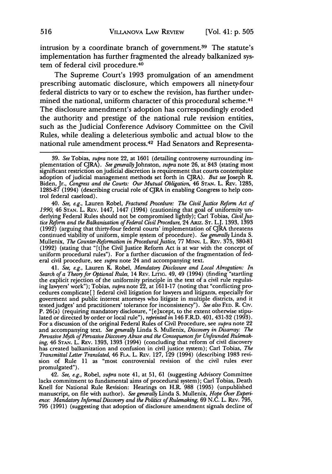intrusion by a coordinate branch of government.<sup>39</sup> The statute's implementation has further fragmented the already balkanized system of federal civil procedure.40

The Supreme Court's 1993 promulgation of an amendment prescribing automatic disclosure, which empowers all ninety-four federal districts to vary or to eschew the revision, has further undermined the national, uniform character of this procedural scheme.<sup>41</sup> The disclosure amendment's adoption has correspondingly eroded the authority and prestige of the national rule revision entities, such as the Judicial Conference Advisory Committee on the Civil Rules, while dealing a deleterious symbolic and actual blow to the national rule amendment process.42 Had Senators and Representa-

40. *See, e.g.,* Lauren Robel, *Fractured Procedure: The Civil justice Re/arm Act of 1990,* 46 STAN. L. REv. 1447, 1447 (1994) (cautioning that goal of uniformity underlying Federal Rules should not be compromised lightly); Carl Tobias, *Civil justice Reform and the Balkanization of Federal Civil Procedure,* 24 ARiz. ST. LJ. 1393, 1393 (1992) (arguing that thirty-four federal courts' implementation of CJRA threatens continued viability of uniform, simple system of procedure). *See generally* Linda S. Mullenix, *The Counter-Reformation in Procedural Justice*, 77 MINN. L. REV. 375, 380-81 (1992) (stating that "[t]he Civil Justice Reform Act is at war with the concept of uniform procedural rules"). For a further discussion of the fragmentation of federal civil procedure, see *supra* note 24 and accompanying text.

41. See, e.g., Lauren K. Robel, *Mandatory Disclosure and Local Abrogation: In* Search of a Theory for Optional Rules, 14 REV. LITIG. 49, 49 (1994) (finding "startling the explicit rejection of the uniformity principle in the text of a civil rule regulating lawyers' work"); Tobias, *supra* note 22, at 1611-17 (noting that "conflicting procedures complicate[] federal civil litigation for lawyers and litigants, especially for goverment and public interest attorneys who litigate in multiple districts, and it tested judges' and practitioners' tolerance for inconsistency"). *See also* FED. R. CIV. P. 26(a) (requiring mandatory disclosure, "[e]xcept, to the extent otherwise stipulated or directed by order or local rule"), *reprinted in* 146 F.R.D. 401, 431-32 (1993). For a discussion of the original Federal Rules of Civil Procedure, see *supra* note 22 and accompanying text. *See generally* Linda S. Mullenix, *Discovery in Disarray: The Pervasive Myth of Pervasive Discovery Abuse and the Consequences for Unfounded Rulemaking,* 46 STAN. L. REv. 1393, 1393 (1994) (concluding that reform of civil discovery has created balkanization and confusion in civil justice system); Carl Tobias, *The Transmittal Letter Translated,* 46 FLA. L. R.Ev. 127, 129 (1994) (describing 1983 revision of Rule 11 as "most controversial revision of the civil rules ever promulgated").

42. *See, e.g.,* Robel, *supra* note 41, at 51, 61 (suggesting Advisory Committee lacks commitment to fundamental aims of procedural system); Carl Tobias, Death Knell for National Rule Revision: Hearings on H.R. 988 (1995) (unpublished manuscript, on file with author). *See generally* Linda S. Mullenix, *Hope Over Experi*ence: Mandatory Informal Discovery and the Politics of Rulemaking, 69 N.C. L. REV. 795, 795 (1991) (suggesting that adoption of disclosure amendment signals decline of

<sup>39.</sup> *See* Tobias, *supra* note 22, at 1601 (detailing controversy surrounding implementation of CJRA). *See generally* Johnston, *supra* note 26, at 843 (stating most significant restriction on judicial discretion is requirement that courts contemplate adoption of judicial management methods set forth in CJRA). *But see* Joseph R. Biden, Jr., *Congress and the Courts: Our Mutual Obligation,* 46 STAN. L. REv. 1285, 1285-87 (1994) (describing crucial role of CJRA in enabling Congress to help control federal caseload).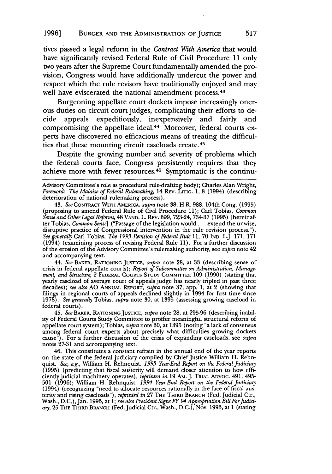#### 1996] BURGER AND THE ADMINISTRATION OF JUSTICE 517

tives passed a legal reform in the *Contract With America* that would have significantly revised Federal Rule of Civil Procedure 11 only two years after the Supreme Court fundamentally amended the provision, Congress would have additionally undercut the power and respect which the rule revisors have traditionally enjoyed and may well have eviscerated the national amendment process.<sup>43</sup>

Burgeoning appellate court dockets impose increasingly onerous duties on circuit court judges, complicating their efforts to decide appeals expeditiously, inexpensively and fairly and compromising the appellate ideal.44 Moreover, federal courts experts have discovered no efficacious means of treating the difficulties that these mounting circuit caseloads create.45

Despite the growing number and severity of problems which the federal courts face, Congress persistently requires that they achieve more with fewer resources.<sup>46</sup> Symptomatic is the continu-

Advisory Committee's role as procedural rule-drafting body); Charles Alan Wright, *Foreword: The Malaise of Federal Rulemaking, 14 REV. LITIG. 1, 8 (1994) (describing* deterioration of national rulemaking process).

43. *See* CONTRACT WITH AMERICA, *supra* note 38; H.R. 988, 104th Cong. ( 1995) (proposing to amend Federal Rule of Civil Procedure 11); Carl Tobias, *Comman Sense and Other Legal Reforms,* 48 VAND. L. REv. 699, 723-24, 734-37 (1995) [hereinafter Tobias, *Comman Sense]* ("Passage of the legislation would ... extend the unwise, disruptive practice of Congressional intervention in the rule revision process."). *See generally* Carl Tobias, *The 1993 Revision of Federal Rule* 11, 70 IND. L.J. 171, 171 (1994) (examining process of revising Federal Rule 11). For a further discussion of the erosion of the Advisory Committee's rulemaking authority, see *supra* note 42 and accompanying text.

44. *See* BAKER, RATIONING JusTICE, *supra* note 28, at 33 (describing sense of crisis in federal appellate courts); *Report of Subcommittee on Administration, Management, and Structure,* 2 FEDERAL COURTS STUDY COMMITTEE 109 (1990) (stating that yearly caseload of average court of appeals judge has nearly tripled in past three decades); *see also* AO ANNUAL REPORT, *supra* note 37, app. 1, at 2 (showing that filings in regional courts of appeals declined slightly in 1994 for first time since 1978). *See generally* Tobias, *supra* note 30, at 1395 (assessing growing caseload in federal courts).

45. *See* BAKER, RATIONING JusTICE, *supra* note 28, at 295-96 (describing inability of Federal Courts Study Committee to proffer meaningful structural reform of appellate court system); Tobias, *supra* note 30, at 1395 (noting "a lack of consensus among federal court experts about precisely what difficulties growing dockets cause"). For a further discussion of the crisis of expanding caseloads, see *supra*  notes 27-31 and accompanying text.

46. This constitutes a constant refrain in the annual end of the year reports on the state of the federal judiciary compiled by Chief Justice William H. Rehnquist. *See, e.g.,* William H. Rehnquist, *1995 Year-End Report on the Federal Judiciary*  (1995) (predicting that fiscal austerity will demand closer attention to how efficiently judicial machinery operates), *reprinted in* 19 AM. J. TRIAL Aovoc. 491, 495- 501 (1996); William H. Rehnquist, *1994 Year-End Report on the Federal Judiciary*  (1994) (recognizing "need to allocate resources rationally in the face of fiscal austerity and rising caseloads"), *reprinted in* 27 THE THIRD BRANCH (Fed.Judicial Ctr., Wash., D.C.),Jan. 1995, at l; *see also President Signs FY 94 Appropriation Bill For Judici*ary, 25 THE THIRD BRANCH (Fed. Judicial Ctr., Wash., D.C.), Nov. 1993, at 1 (stating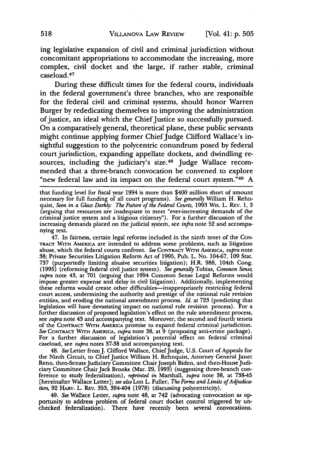ing legislative expansion of civil and criminal jurisdiction without concomitant appropriations to accommodate the increasing, more complex, civil docket and the large, if rather stable, criminal caseload.47

During these difficult times for the federal courts, individuals in the federal government's three branches, who are responsible for the federal civil and criminal systems, should honor Warren Burger by rededicating themselves to improving the administration of justice, an ideal which the Chief Justice so successfully pursued. On a comparatively general, theoretical plane, these public servants might continue applying former Chief Judge Clifford Wallace's insightful suggestion to the polycentric conundrum posed by federal court jurisdiction, expanding appellate dockets, and dwindling resources, including the judiciary's size.48 Judge Wallace recommended that a three-branch convocation be convened to explore "new federal law and its impact on the federal court system."<sup>49</sup> A

that funding level for fiscal year 1994 is more than \$400 million short of amount necessary for full funding of all court programs). *See generally* William H. Rehnquist, *Seen in a Glass Darkly: The Future of the Federal Courts*, 1993 Wis. L. REV. 1, 3 (arguing that resources are inadequate to meet "ever-increasing demands of the criminal justice system and a litigious citizenry"). For a further discussion of the increasing demands placed on the judicial system, see *infra* note 52 and accompanying text.

47. In fairness, certain legal reforms included in the ninth tenet of the CON-TRACT WITH AMERICA are intended to address some problems, such as litigation abuse, which the federal courts confront. *See* CONTRACT WITH AMERICA, *supra* note 38; Private Securities Litigation Reform Act of 1995, Pub. L. No. 104-67, 109 Stat. 737 (purportedly limiting abusive securities litigation); H.R. 988, 104th Cong. (1995) (reforming federal civil justice system). *See generally* Tobias, *Common Sense, supra* note 43, at 701 (arguing that 1994 Common Sense Legal Reforms would impose greater expense and delay in civil litigation). Additionally, implementing these reforms would create other difficulties-inappropriately restricting federal court access, undermining the authority and prestige of the national rule revision entities, and eroding the national amendment process. *Id.* at 723 (predicting that legislation will have devastating impact on national rule revision process). For a further discussion of proposed legislation's effect on the rule amendment process, see *supra* note 43 and accompanying text. Moreover, the second and fourth tenets of the CONTRACT WITH AMERICA promise to expand federal criminal jurisdiction. *See* CONTRACT WITH AMERICA, *supra* note 38, at 9 (proposing anti-crime package). For a further discussion of legislation's potential effect on federal criminal caseload, see *supra* notes 37-38 and accompanying text.

48. *See* Letter fromJ. Clifford Wallace, Chief Judge, U.S. Court of Appeals for the Ninth Circuit, to Chief Justice William H. Rehnquist, Attorney General Janet Reno, then-Senate Judiciary Committee Chair Joseph Biden, and then-House Judiciary Committee Chair Jack Brooks (Mar. 29, 1993) (suggesting three-branch conference to study federalization), *reprinted in* Marshall, *supra* note 38, at 738-45 [hereinafter Wallace Letter]; *see also* Lon L. Fuller, *The Forms. and Limits of Adjudica*tion, 92 HARV. L. REV. 353, 394-404 (1978) (discussing polycentricity).

49. *See* Wallace Letter, *supra* note 48, at 742 (advocating convocation as opportunity to address problem of federal court docket control triggered by unchecked federalization). There have recently been several convocations.